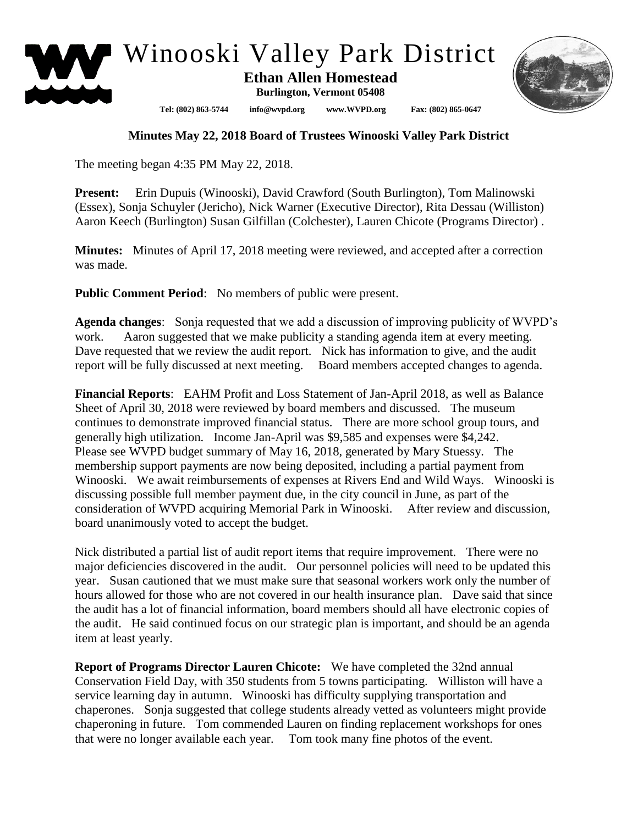

Winooski Valley Park District

**Ethan Allen Homestead**

**Burlington, Vermont 05408**

**Tel: (802) 863-5744 info@wvpd.org [www.WVPD.org](http://www.wvpd.org/) Fax: (802) 865-0647** 



## **Minutes May 22, 2018 Board of Trustees Winooski Valley Park District**

The meeting began 4:35 PM May 22, 2018.

**Present:** Erin Dupuis (Winooski), David Crawford (South Burlington), Tom Malinowski (Essex), Sonja Schuyler (Jericho), Nick Warner (Executive Director), Rita Dessau (Williston) Aaron Keech (Burlington) Susan Gilfillan (Colchester), Lauren Chicote (Programs Director) .

**Minutes:** Minutes of April 17, 2018 meeting were reviewed, and accepted after a correction was made.

**Public Comment Period:** No members of public were present.

**Agenda changes**: Sonja requested that we add a discussion of improving publicity of WVPD's work. Aaron suggested that we make publicity a standing agenda item at every meeting. Dave requested that we review the audit report. Nick has information to give, and the audit report will be fully discussed at next meeting. Board members accepted changes to agenda.

**Financial Reports**: EAHM Profit and Loss Statement of Jan-April 2018, as well as Balance Sheet of April 30, 2018 were reviewed by board members and discussed. The museum continues to demonstrate improved financial status. There are more school group tours, and generally high utilization. Income Jan-April was \$9,585 and expenses were \$4,242. Please see WVPD budget summary of May 16, 2018, generated by Mary Stuessy. The membership support payments are now being deposited, including a partial payment from Winooski. We await reimbursements of expenses at Rivers End and Wild Ways. Winooski is discussing possible full member payment due, in the city council in June, as part of the consideration of WVPD acquiring Memorial Park in Winooski. After review and discussion, board unanimously voted to accept the budget.

Nick distributed a partial list of audit report items that require improvement. There were no major deficiencies discovered in the audit. Our personnel policies will need to be updated this year. Susan cautioned that we must make sure that seasonal workers work only the number of hours allowed for those who are not covered in our health insurance plan. Dave said that since the audit has a lot of financial information, board members should all have electronic copies of the audit. He said continued focus on our strategic plan is important, and should be an agenda item at least yearly.

**Report of Programs Director Lauren Chicote:** We have completed the 32nd annual Conservation Field Day, with 350 students from 5 towns participating. Williston will have a service learning day in autumn. Winooski has difficulty supplying transportation and chaperones. Sonja suggested that college students already vetted as volunteers might provide chaperoning in future. Tom commended Lauren on finding replacement workshops for ones that were no longer available each year. Tom took many fine photos of the event.